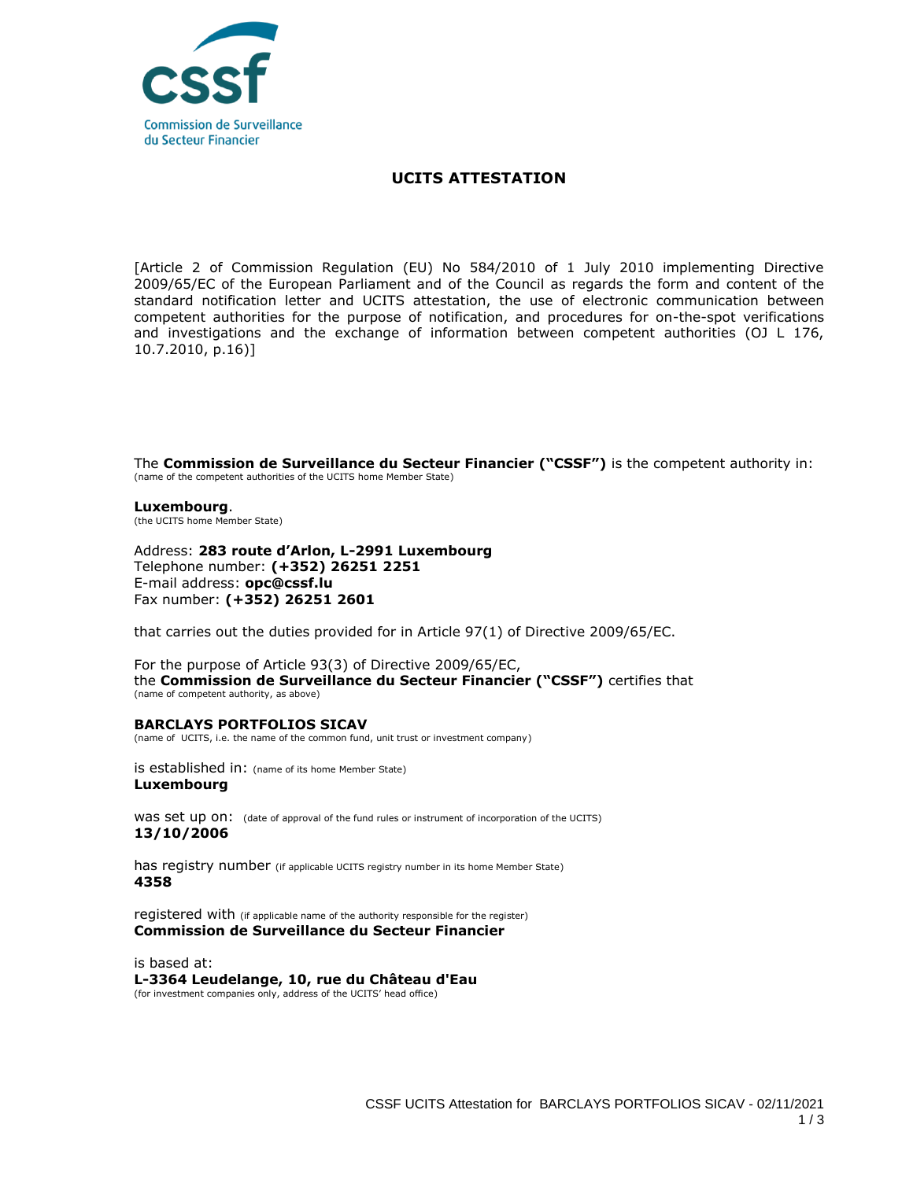

## **UCITS ATTESTATION**

[Article 2 of Commission Regulation (EU) No 584/2010 of 1 July 2010 implementing Directive 2009/65/EC of the European Parliament and of the Council as regards the form and content of the standard notification letter and UCITS attestation, the use of electronic communication between competent authorities for the purpose of notification, and procedures for on-the-spot verifications and investigations and the exchange of information between competent authorities (OJ L 176, 10.7.2010, p.16)]

The **Commission de Surveillance du Secteur Financier ("CSSF")** is the competent authority in: (name of the competent authorities of the UCITS home Member State)

**Luxembourg**. (the UCITS home Member State)

Address: **283 route d'Arlon, L-2991 Luxembourg** Telephone number: **(+352) 26251 2251**  E-mail address: **opc@cssf.lu** Fax number: **(+352) 26251 2601**

that carries out the duties provided for in Article 97(1) of Directive 2009/65/EC.

For the purpose of Article 93(3) of Directive 2009/65/EC, the **Commission de Surveillance du Secteur Financier ("CSSF")** certifies that (name of competent authority, as above)

## **BARCLAYS PORTFOLIOS SICAV**

(name of UCITS, i.e. the name of the common fund, unit trust or investment company)

is established in: (name of its home Member State) **Luxembourg**

was set up on: (date of approval of the fund rules or instrument of incorporation of the UCITS) **13/10/2006**

has registry number (if applicable UCITS registry number in its home Member State) **4358**

registered with (if applicable name of the authority responsible for the register) **Commission de Surveillance du Secteur Financier**

is based at: **L-3364 Leudelange, 10, rue du Château d'Eau** (for investment companies only, address of the UCITS' head office)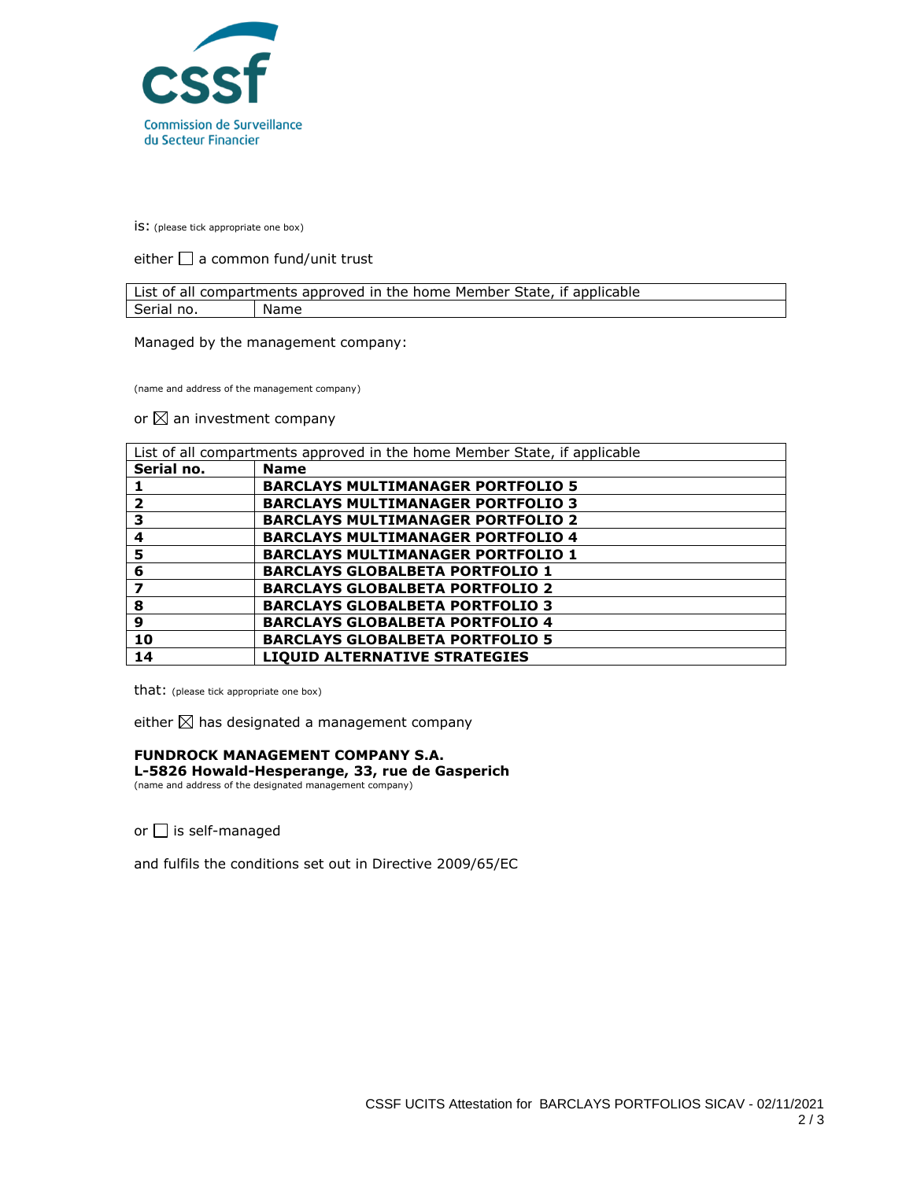

is: (please tick appropriate one box)

either  $\square$  a common fund/unit trust

| List of all compartments approved in the home Member State, if applicable |      |  |
|---------------------------------------------------------------------------|------|--|
| Serial no.                                                                | Name |  |

Managed by the management company:

(name and address of the management company)

or  $\boxtimes$  an investment company

| List of all compartments approved in the home Member State, if applicable |                                          |
|---------------------------------------------------------------------------|------------------------------------------|
| Serial no.                                                                | <b>Name</b>                              |
|                                                                           | <b>BARCLAYS MULTIMANAGER PORTFOLIO 5</b> |
| 2                                                                         | <b>BARCLAYS MULTIMANAGER PORTFOLIO 3</b> |
| з                                                                         | <b>BARCLAYS MULTIMANAGER PORTFOLIO 2</b> |
| 4                                                                         | <b>BARCLAYS MULTIMANAGER PORTFOLIO 4</b> |
| 5                                                                         | <b>BARCLAYS MULTIMANAGER PORTFOLIO 1</b> |
| 6                                                                         | <b>BARCLAYS GLOBALBETA PORTFOLIO 1</b>   |
| 7                                                                         | <b>BARCLAYS GLOBALBETA PORTFOLIO 2</b>   |
| 8                                                                         | <b>BARCLAYS GLOBALBETA PORTFOLIO 3</b>   |
| 9                                                                         | <b>BARCLAYS GLOBALBETA PORTFOLIO 4</b>   |
| 10                                                                        | <b>BARCLAYS GLOBALBETA PORTFOLIO 5</b>   |
| 14                                                                        | <b>LIQUID ALTERNATIVE STRATEGIES</b>     |

that: (please tick appropriate one box)

either  $\boxtimes$  has designated a management company

## **FUNDROCK MANAGEMENT COMPANY S.A.**

**L-5826 Howald-Hesperange, 33, rue de Gasperich** (name and address of the designated management company)

or  $\Box$  is self-managed

and fulfils the conditions set out in Directive 2009/65/EC